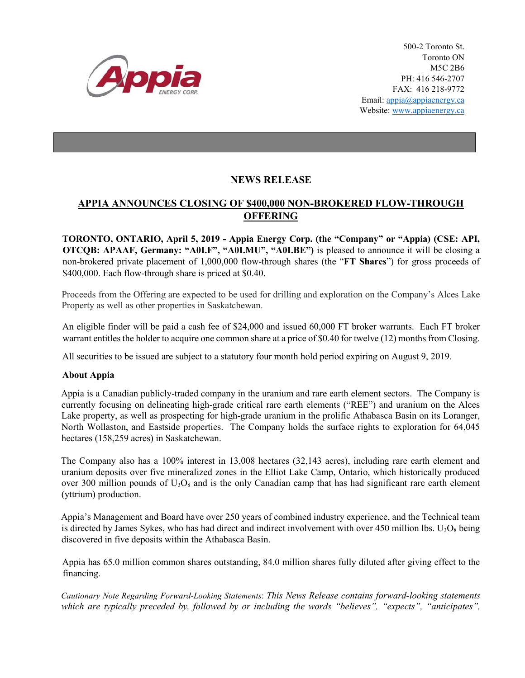

500-2 Toronto St. Toronto ON M5C 2B6 PH: 416 546-2707 FAX: 416 218-9772 Email: appia@appiaenergy.ca Website: www.appiaenergy.ca

## **NEWS RELEASE**

## **APPIA ANNOUNCES CLOSING OF \$400,000 NON-BROKERED FLOW-THROUGH OFFERING**

**TORONTO, ONTARIO, April 5, 2019 - Appia Energy Corp. (the "Company" or "Appia) (CSE: API, OTCQB: APAAF, Germany: "A0I.F", "A0I.MU", "A0I.BE")** is pleased to announce it will be closing a non-brokered private placement of 1,000,000 flow-through shares (the "**FT Shares**") for gross proceeds of \$400,000. Each flow-through share is priced at \$0.40.

Proceeds from the Offering are expected to be used for drilling and exploration on the Company's Alces Lake Property as well as other properties in Saskatchewan.

An eligible finder will be paid a cash fee of \$24,000 and issued 60,000 FT broker warrants. Each FT broker warrant entitles the holder to acquire one common share at a price of \$0.40 for twelve (12) months from Closing.

All securities to be issued are subject to a statutory four month hold period expiring on August 9, 2019.

## **About Appia**

Appia is a Canadian publicly-traded company in the uranium and rare earth element sectors. The Company is currently focusing on delineating high-grade critical rare earth elements ("REE") and uranium on the Alces Lake property, as well as prospecting for high-grade uranium in the prolific Athabasca Basin on its Loranger, North Wollaston, and Eastside properties. The Company holds the surface rights to exploration for 64,045 hectares (158,259 acres) in Saskatchewan.

The Company also has a 100% interest in 13,008 hectares (32,143 acres), including rare earth element and uranium deposits over five mineralized zones in the Elliot Lake Camp, Ontario, which historically produced over 300 million pounds of  $U_3O_8$  and is the only Canadian camp that has had significant rare earth element (yttrium) production.

Appia's Management and Board have over 250 years of combined industry experience, and the Technical team is directed by James Sykes, who has had direct and indirect involvement with over 450 million lbs.  $U_3O_8$  being discovered in five deposits within the Athabasca Basin.

Appia has 65.0 million common shares outstanding, 84.0 million shares fully diluted after giving effect to the financing.

*Cautionary Note Regarding Forward-Looking Statements*: *This News Release contains forward-looking statements which are typically preceded by, followed by or including the words "believes", "expects", "anticipates",*